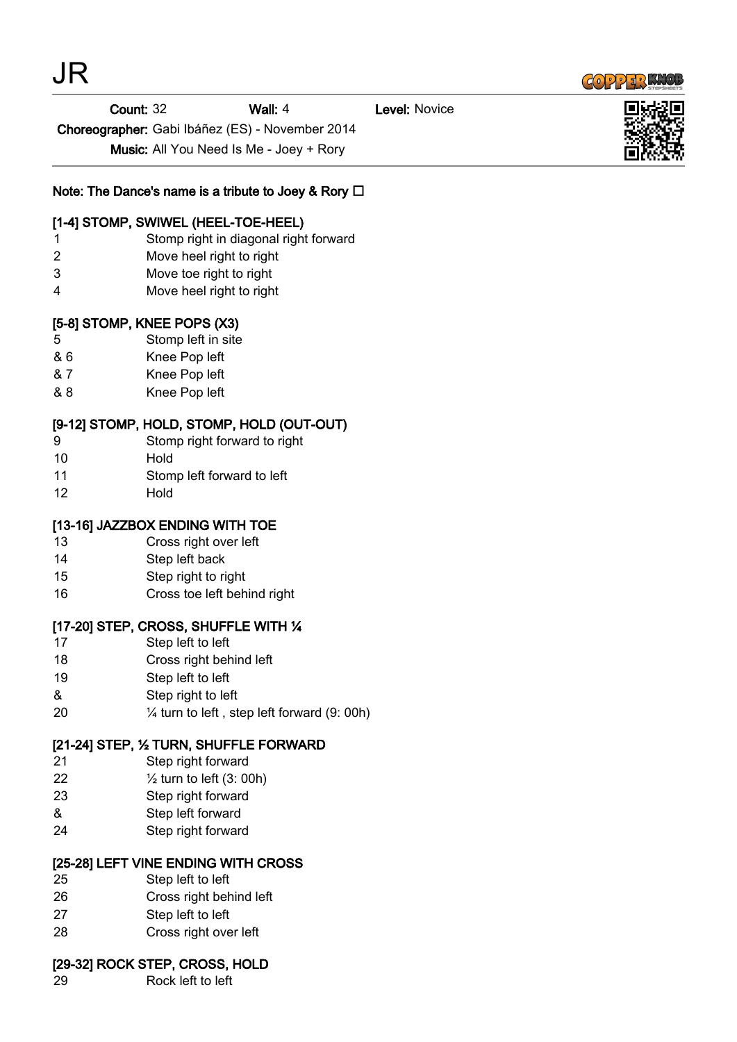

**Count: 32 Wall: 4 Level: Novice** 

Choreographer: Gabi Ibáñez (ES) - November 2014

Music: All You Need Is Me - Joey + Rory

Note: The Dance's name is a tribute to Joey & Rory  $\Box$ 

### [1-4] STOMP, SWIWEL (HEEL-TOE-HEEL)

- 1 Stomp right in diagonal right forward
- 2 Move heel right to right
- 3 Move toe right to right
- 4 Move heel right to right

## [5-8] STOMP, KNEE POPS (X3)

- 5 Stomp left in site
- & 6 Knee Pop left
- & 7 Knee Pop left
- & 8 Knee Pop left

### [9-12] STOMP, HOLD, STOMP, HOLD (OUT-OUT)

- 9 Stomp right forward to right
- 10 Hold
- 11 Stomp left forward to left
- 12 Hold

### [13-16] JAZZBOX ENDING WITH TOE

- 13 Cross right over left
- 14 Step left back
- 15 Step right to right
- 16 Cross toe left behind right

#### [17-20] STEP, CROSS, SHUFFLE WITH ¼

- 17 Step left to left
- 18 Cross right behind left
- 19 Step left to left
- & Step right to left
- 20 ¼ turn to left , step left forward (9: 00h)

## [21-24] STEP, ½ TURN, SHUFFLE FORWARD

- 21 Step right forward
- 22 ½ turn to left (3: 00h)
- 23 Step right forward
- & Step left forward
- 24 Step right forward

## [25-28] LEFT VINE ENDING WITH CROSS

- 25 Step left to left
- 26 Cross right behind left
- 27 Step left to left
- 28 Cross right over left

#### [29-32] ROCK STEP, CROSS, HOLD

29 Rock left to left